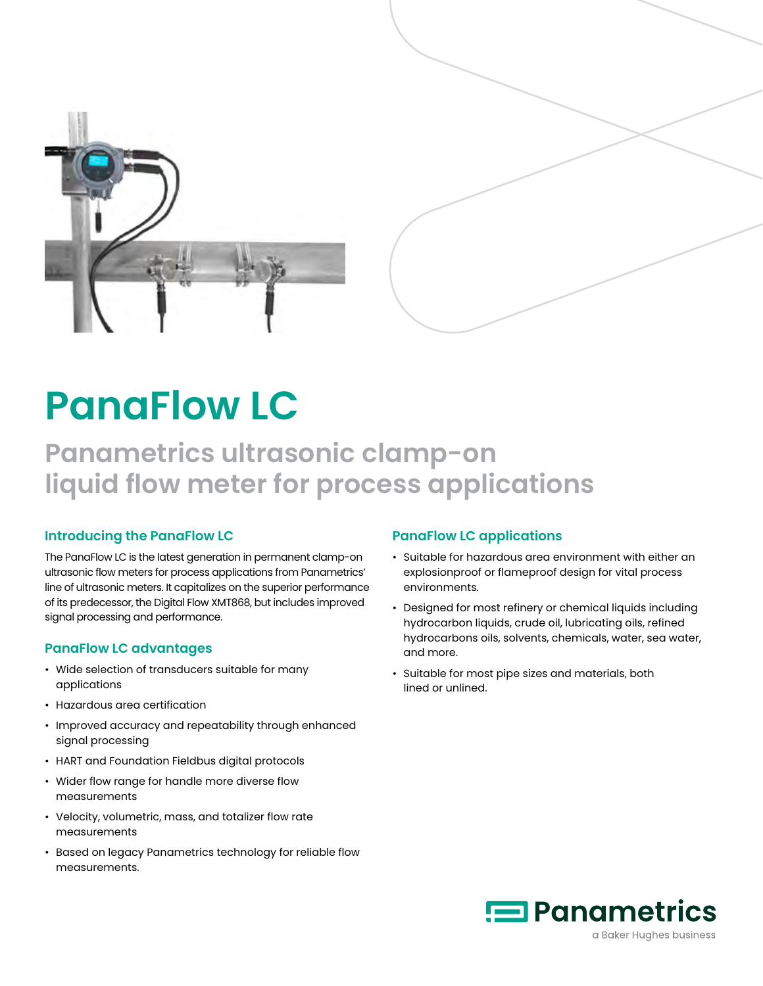



# **PanaFlow LC**

## **Panametrics ultrasonic clamp-on liquid flow meter for process applications**

#### **Introducing the PanaFlow LC**

The PanaFlow LC is the latest generation in permanent clamp-on ultrasonic flow meters for process applications from Panametrics' line of ultrasonic meters. It capitalizes on the superior performance of its predecessor, the Digital Flow XMT868, but includes improved signal processing and performance.

#### **PanaFlow LC advantages**

- Wide selection of transducers suitable for many applications
- Hazardous area certification
- Improved accuracy and repeatability through enhanced signal processing
- HART and Foundation Fieldbus digital protocols
- Wider flow range for handle more diverse flow measurements
- Velocity, volumetric, mass, and totalizer flow rate measurements
- Based on legacy Panametrics technology for reliable flow measurements.

#### **PanaFlow LC applications**

- Suitable for hazardous area environment with either an explosionproof or flameproof design for vital process environments.
- Designed for most refinery or chemical liquids including hydrocarbon liquids, crude oil, lubricating oils, refined hydrocarbons oils, solvents, chemicals, water, sea water, and more.
- Suitable for most pipe sizes and materials, both lined or unlined.



a Baker Hughes business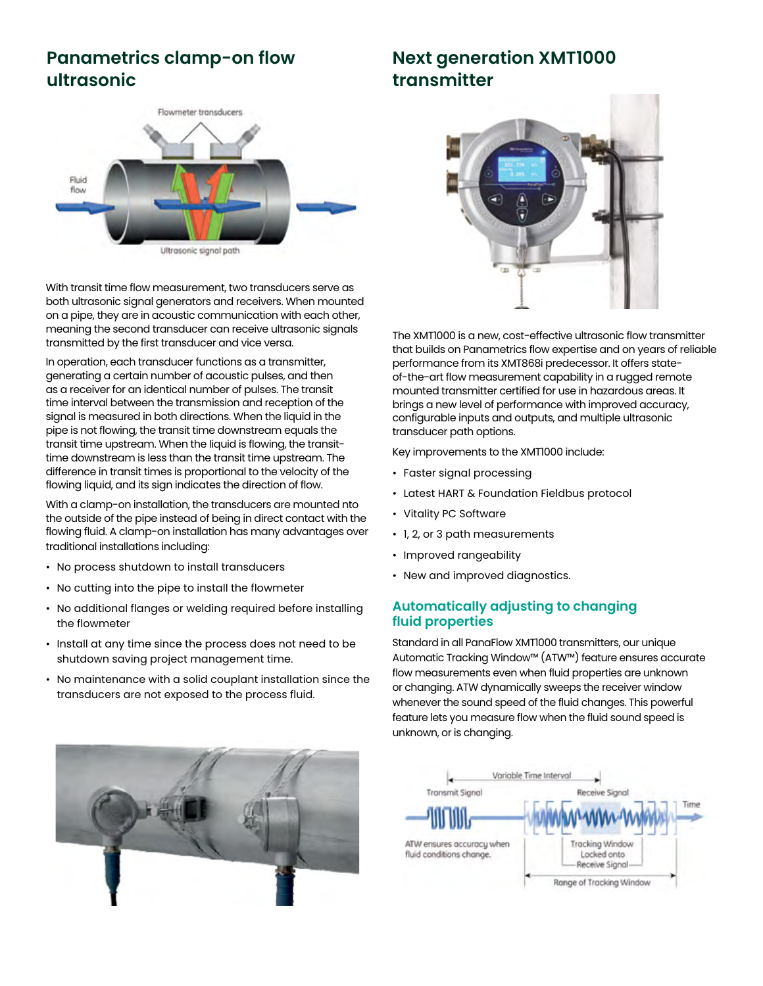## **Panametrics clamp-on flow ultrasonic**



With transit time flow measurement, two transducers serve as both ultrasonic signal generators and receivers. When mounted on a pipe, they are in acoustic communication with each other, meaning the second transducer can receive ultrasonic signals transmitted by the first transducer and vice versa.

In operation, each transducer functions as a transmitter, generating a certain number of acoustic pulses, and then as a receiver for an identical number of pulses. The transit time interval between the transmission and reception of the signal is measured in both directions. When the liquid in the pipe is not flowing, the transit time downstream equals the transit time upstream. When the liquid is flowing, the transittime downstream is less than the transit time upstream. The difference in transit times is proportional to the velocity of the flowing liquid, and its sign indicates the direction of flow.

With a clamp-on installation, the transducers are mounted nto the outside of the pipe instead of being in direct contact with the flowing fluid. A clamp-on installation has many advantages over traditional installations including:

- No process shutdown to install transducers
- No cutting into the pipe to install the flowmeter
- No additional flanges or welding required before installing the flowmeter
- Install at any time since the process does not need to be shutdown saving project management time.
- No maintenance with a solid couplant installation since the transducers are not exposed to the process fluid.

## **Next generation XMT1000 transmitter**



The XMT1000 is a new, cost-effective ultrasonic flow transmitter that builds on Panametrics flow expertise and on years of reliable performance from its XMT868i predecessor. It offers stateof-the-art flow measurement capability in a rugged remote mounted transmitter certified for use in hazardous areas. It brings a new level of performance with improved accuracy, configurable inputs and outputs, and multiple ultrasonic transducer path options.

Key improvements to the XMT1000 include:

- Faster signal processing
- Latest HART & Foundation Fieldbus protocol
- Vitality PC Software
- 1, 2, or 3 path measurements
- Improved rangeability
- New and improved diagnostics.

#### **Automatically adjusting to changing fluid properties**

Standard in all PanaFlow XMT1000 transmitters, our unique Automatic Tracking Window™ (ATW™) feature ensures accurate flow measurements even when fluid properties are unknown or changing. ATW dynamically sweeps the receiver window whenever the sound speed of the fluid changes. This powerful feature lets you measure flow when the fluid sound speed is unknown, or is changing.



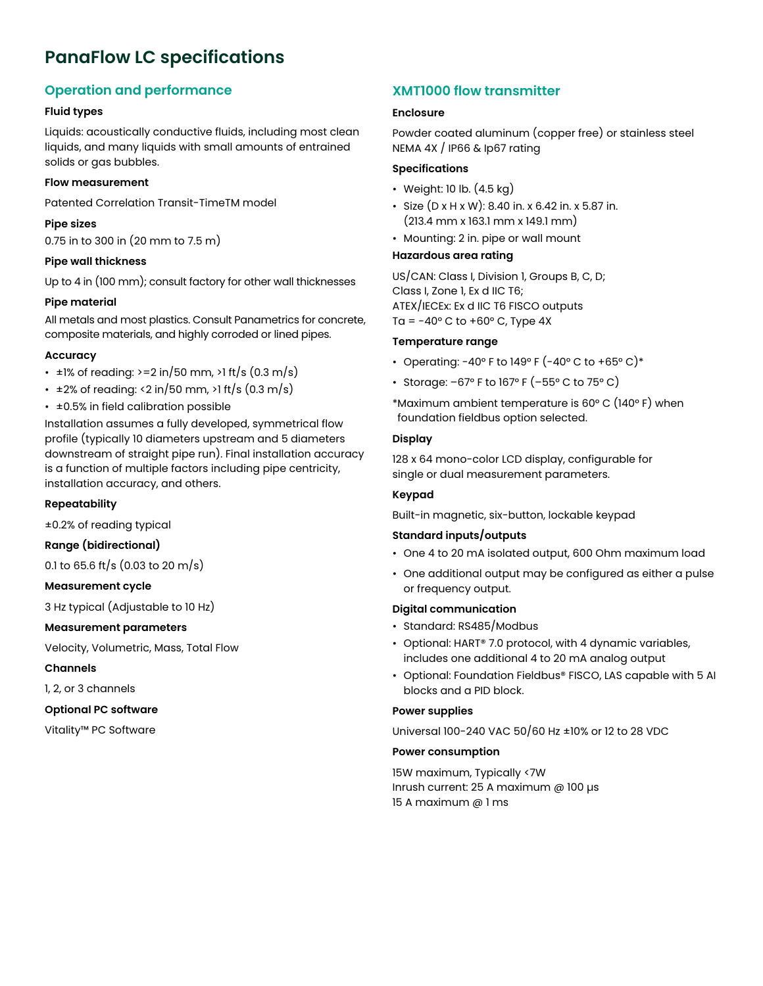## **PanaFlow LC specifications**

#### **Operation and performance**

#### **Fluid types**

Liquids: acoustically conductive fluids, including most clean liquids, and many liquids with small amounts of entrained solids or gas bubbles.

#### **Flow measurement**

Patented Correlation Transit-TimeTM model

#### **Pipe sizes**

0.75 in to 300 in (20 mm to 7.5 m)

#### **Pipe wall thickness**

Up to 4 in (100 mm); consult factory for other wall thicknesses

#### **Pipe material**

All metals and most plastics. Consult Panametrics for concrete, composite materials, and highly corroded or lined pipes.

#### **Accuracy**

- $\pm$ 1% of reading: >=2 in/50 mm, >1 ft/s (0.3 m/s)
- $\cdot$   $\pm$ 2% of reading: <2 in/50 mm, >1 ft/s (0.3 m/s)
- ±0.5% in field calibration possible

Installation assumes a fully developed, symmetrical flow profile (typically 10 diameters upstream and 5 diameters downstream of straight pipe run). Final installation accuracy is a function of multiple factors including pipe centricity, installation accuracy, and others.

#### **Repeatability**

±0.2% of reading typical

#### **Range (bidirectional)**

0.1 to 65.6 ft/s (0.03 to 20 m/s)

#### **Measurement cycle**

3 Hz typical (Adjustable to 10 Hz)

#### **Measurement parameters**

Velocity, Volumetric, Mass, Total Flow

#### **Channels**

1, 2, or 3 channels

#### **Optional PC software**

Vitality™ PC Software

#### **XMT1000 flow transmitter**

#### **Enclosure**

Powder coated aluminum (copper free) or stainless steel NEMA 4X / IP66 & Ip67 rating

#### **Specifications**

- Weight: 10 lb. (4.5 kg)
- Size  $(D \times H \times W)$ : 8.40 in. x 6.42 in. x 5.87 in. (213.4 mm x 163.1 mm x 149.1 mm)
- Mounting: 2 in. pipe or wall mount

#### **Hazardous area rating**

US/CAN: Class I, Division 1, Groups B, C, D; Class I, Zone 1, Ex d IIC T6; ATEX/IECEx: Ex d IIC T6 FISCO outputs Ta =  $-40^\circ$  C to  $+60^\circ$  C, Type 4X

#### **Temperature range**

- Operating:  $-40^{\circ}$  F to 149° F  $(-40^{\circ}$  C to  $+65^{\circ}$  C)\*
- Storage: –67° F to 167° F (–55° C to 75° C)

\*Maximum ambient temperature is 60° C (140° F) when foundation fieldbus option selected.

#### **Display**

128 x 64 mono-color LCD display, configurable for single or dual measurement parameters.

#### **Keypad**

Built-in magnetic, six-button, lockable keypad

#### **Standard inputs/outputs**

- One 4 to 20 mA isolated output, 600 Ohm maximum load
- One additional output may be configured as either a pulse or frequency output.

#### **Digital communication**

- Standard: RS485/Modbus
- Optional: HART® 7.0 protocol, with 4 dynamic variables, includes one additional 4 to 20 mA analog output
- Optional: Foundation Fieldbus® FISCO, LAS capable with 5 AI blocks and a PID block.

#### **Power supplies**

Universal 100-240 VAC 50/60 Hz ±10% or 12 to 28 VDC

#### **Power consumption**

15W maximum, Typically <7W Inrush current: 25 A maximum @ 100 µs 15 A maximum @ 1 ms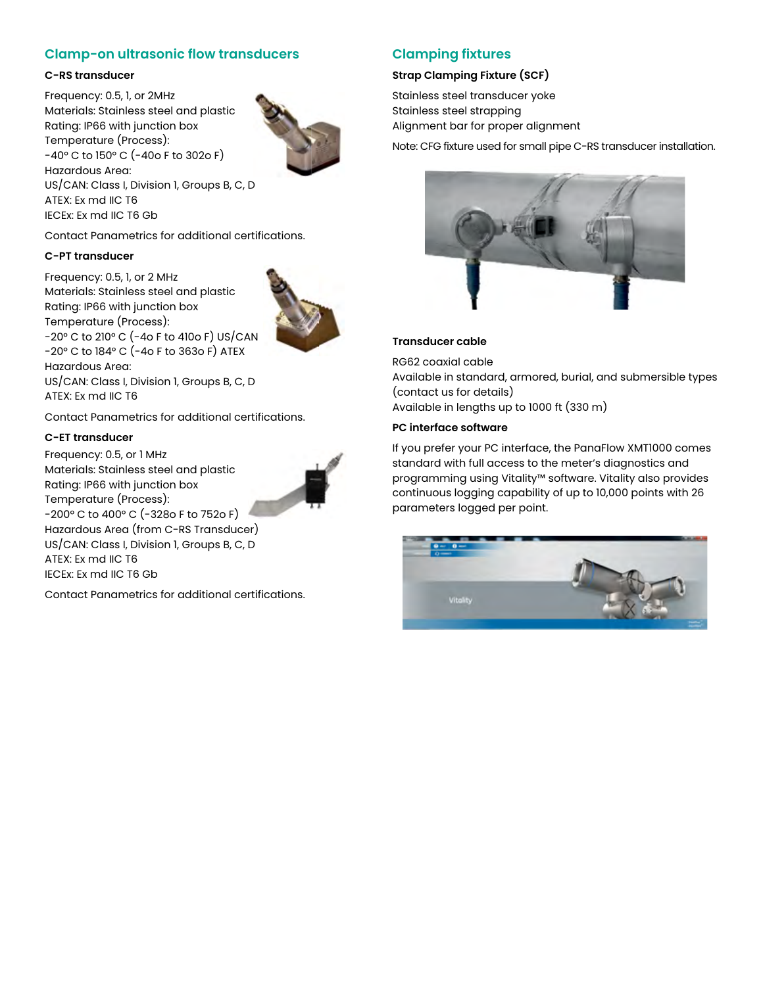#### **Clamp-on ultrasonic flow transducers**

#### **C-RS transducer**

Frequency: 0.5, 1, or 2MHz Materials: Stainless steel and plastic Rating: IP66 with junction box Temperature (Process): -40° C to 150° C (-40o F to 302o F) Hazardous Area: US/CAN: Class I, Division 1, Groups B, C, D ATEX: Ex md IIC T6 IECEx: Ex md IIC T6 Gb



Contact Panametrics for additional certifications.

#### **C-PT transducer**

Frequency: 0.5, 1, or 2 MHz Materials: Stainless steel and plastic Rating: IP66 with junction box Temperature (Process): -20° C to 210° C (-4o F to 410o F) US/CAN -20° C to 184° C (-4o F to 363o F) ATEX Hazardous Area: US/CAN: Class I, Division 1, Groups B, C, D ATEX: Ex md IIC T6



Contact Panametrics for additional certifications.

#### **C-ET transducer**

Frequency: 0.5, or 1 MHz Materials: Stainless steel and plastic Rating: IP66 with junction box Temperature (Process): -200° C to 400° C (-328o F to 752o F) Hazardous Area (from C-RS Transducer) US/CAN: Class I, Division 1, Groups B, C, D ATEX: Ex md IIC T6 IECEx: Ex md IIC T6 Gb

Contact Panametrics for additional certifications.

#### **Clamping fixtures**

#### **Strap Clamping Fixture (SCF)**

Stainless steel transducer yoke Stainless steel strapping Alignment bar for proper alignment

Note: CFG fixture used for small pipe C-RS transducer installation.



#### **Transducer cable**

RG62 coaxial cable Available in standard, armored, burial, and submersible types (contact us for details) Available in lengths up to 1000 ft (330 m)

#### **PC interface software**

If you prefer your PC interface, the PanaFlow XMT1000 comes standard with full access to the meter's diagnostics and programming using Vitality™ software. Vitality also provides continuous logging capability of up to 10,000 points with 26 parameters logged per point.

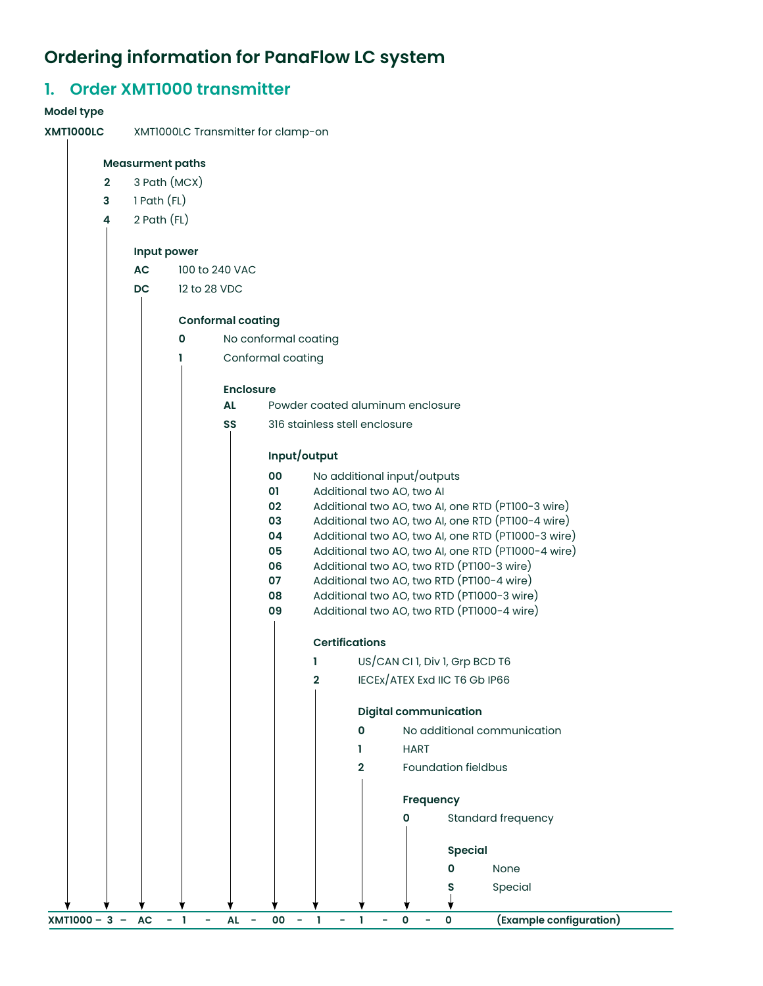## **Ordering information for PanaFlow LC system**

| 1.                                                     | <b>Order XMT1000 transmitter</b> |    |   |                          |                      |                                                                                                         |  |  |
|--------------------------------------------------------|----------------------------------|----|---|--------------------------|----------------------|---------------------------------------------------------------------------------------------------------|--|--|
| Model type                                             |                                  |    |   |                          |                      |                                                                                                         |  |  |
| <b>XMT1000LC</b><br>XMT1000LC Transmitter for clamp-on |                                  |    |   |                          |                      |                                                                                                         |  |  |
|                                                        | <b>Measurment paths</b>          |    |   |                          |                      |                                                                                                         |  |  |
|                                                        | 3 Path (MCX)<br>$\overline{2}$   |    |   |                          |                      |                                                                                                         |  |  |
|                                                        | 1 Path (FL)<br>3                 |    |   |                          |                      |                                                                                                         |  |  |
|                                                        | $2$ Path $(FL)$<br>4             |    |   |                          |                      |                                                                                                         |  |  |
|                                                        | Input power                      |    |   |                          |                      |                                                                                                         |  |  |
|                                                        | 100 to 240 VAC<br>AC             |    |   |                          |                      |                                                                                                         |  |  |
|                                                        | <b>DC</b><br>12 to 28 VDC        |    |   |                          |                      |                                                                                                         |  |  |
|                                                        |                                  |    |   | <b>Conformal coating</b> |                      |                                                                                                         |  |  |
|                                                        |                                  |    | 0 |                          | No conformal coating |                                                                                                         |  |  |
|                                                        |                                  |    |   |                          | Conformal coating    |                                                                                                         |  |  |
|                                                        |                                  |    |   | <b>Enclosure</b>         |                      |                                                                                                         |  |  |
|                                                        |                                  |    |   | <b>AL</b>                |                      | Powder coated aluminum enclosure                                                                        |  |  |
|                                                        |                                  |    |   | SS                       |                      | 316 stainless stell enclosure                                                                           |  |  |
|                                                        |                                  |    |   |                          | Input/output         |                                                                                                         |  |  |
|                                                        |                                  |    |   |                          | 00                   | No additional input/outputs                                                                             |  |  |
|                                                        |                                  |    |   |                          | 01                   | Additional two AO, two AI                                                                               |  |  |
|                                                        |                                  |    |   |                          | 02                   | Additional two AO, two AI, one RTD (PT100-3 wire)                                                       |  |  |
|                                                        |                                  |    |   |                          | 03<br>04             | Additional two AO, two AI, one RTD (PT100-4 wire)<br>Additional two AO, two AI, one RTD (PT1000-3 wire) |  |  |
|                                                        |                                  |    |   |                          | 05                   | Additional two AO, two AI, one RTD (PT1000-4 wire)                                                      |  |  |
|                                                        |                                  |    |   |                          | 06                   | Additional two AO, two RTD (PT100-3 wire)                                                               |  |  |
|                                                        |                                  |    |   |                          | 07                   | Additional two AO, two RTD (PT100-4 wire)                                                               |  |  |
|                                                        |                                  |    |   |                          | 08<br>09             | Additional two AO, two RTD (PT1000-3 wire)<br>Additional two AO, two RTD (PT1000-4 wire)                |  |  |
|                                                        |                                  |    |   |                          |                      |                                                                                                         |  |  |
|                                                        |                                  |    |   |                          |                      | <b>Certifications</b>                                                                                   |  |  |
|                                                        |                                  |    |   |                          |                      | US/CAN CI 1, Div 1, Grp BCD T6<br>IECEX/ATEX Exd IIC T6 Gb IP66<br>2                                    |  |  |
|                                                        |                                  |    |   |                          |                      |                                                                                                         |  |  |
|                                                        |                                  |    |   |                          |                      | <b>Digital communication</b>                                                                            |  |  |
|                                                        |                                  |    |   |                          |                      | 0<br>No additional communication                                                                        |  |  |
|                                                        |                                  |    |   |                          |                      | L<br><b>HART</b>                                                                                        |  |  |
|                                                        |                                  |    |   |                          |                      | <b>Foundation fieldbus</b><br>2                                                                         |  |  |
|                                                        |                                  |    |   |                          |                      | Frequency                                                                                               |  |  |
|                                                        |                                  |    |   |                          |                      | Standard frequency<br>0                                                                                 |  |  |
|                                                        |                                  |    |   |                          |                      | <b>Special</b>                                                                                          |  |  |
|                                                        |                                  |    |   |                          |                      | 0<br>None                                                                                               |  |  |
|                                                        |                                  |    |   |                          |                      | Special<br>s                                                                                            |  |  |
|                                                        | XMT1000 - 3 -                    | AC |   | <b>AL</b>                | 00                   | (Example configuration)<br>0<br>$\mathbf 0$                                                             |  |  |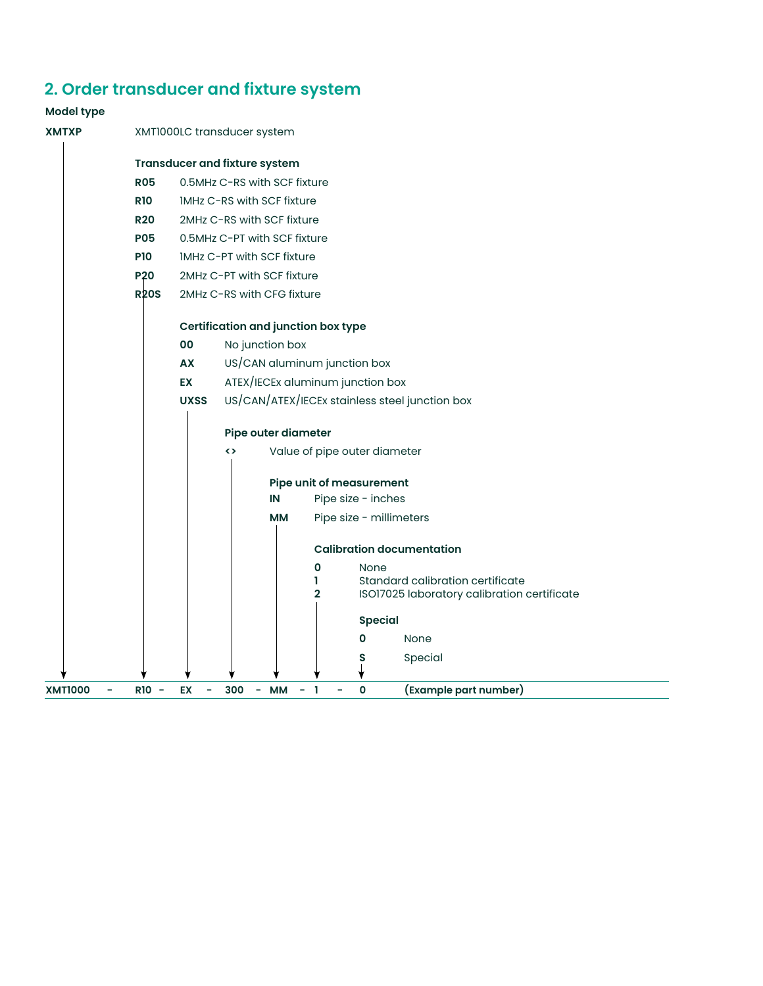## **2. Order transducer and fixture system**

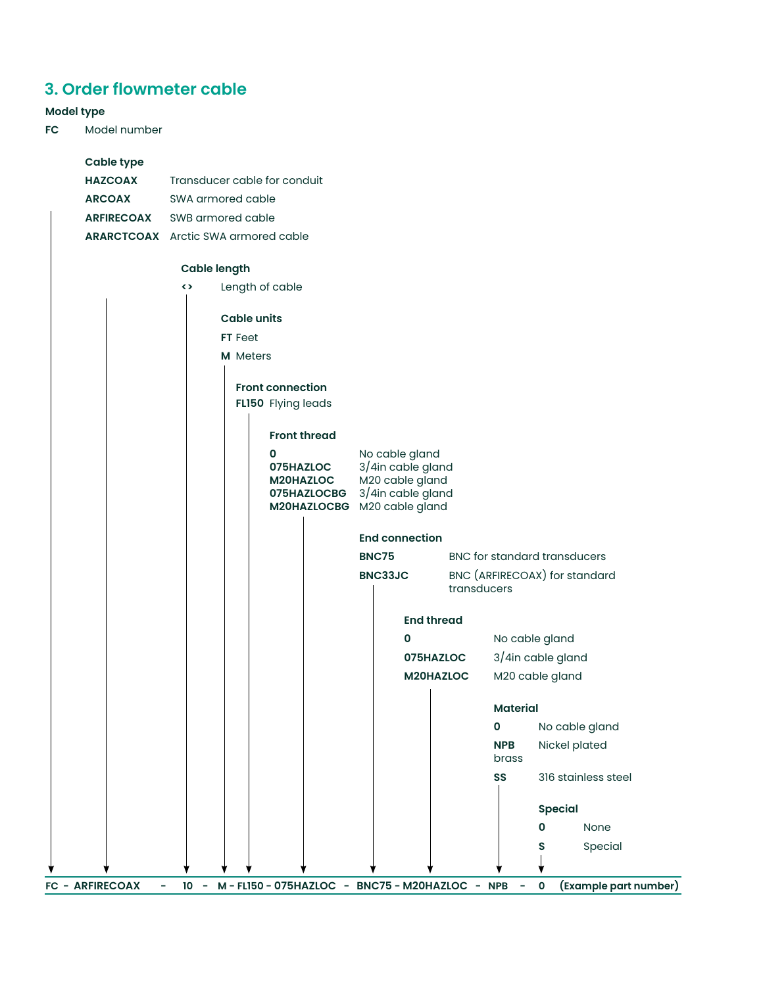### **3. Order flowmeter cable**

#### **Model type**

**FC** Model number

## **Cable type HAZCOAX** Transducer cable for conduit **ARCOAX** SWA armored cable **ARFIRECOAX** SWB armored cable **ARARCTCOAX** Arctic SWA armored cable  **Cable length <>** Length of cable  **Cable units FT** Feet **M** Meters  **Front connection FL150** Flying leads **Front thread 0** No cable gland<br>**075HAZLOC** 3/4in cable glar **075HAZLOC** 3/4in cable gland<br>**M20HAZLOC** M20 cable gland M<sub>20</sub> cable gland **075HAZLOCBG** 3/4in cable gland **M20HAZLOCBG** M20 cable gland **End connection BNC75** BNC for standard transducers **BNC33JC** BNC (ARFIRECOAX) for standard<br>
l transducers s and the set of the set of the set of the set of the set of the set of the set of the set of the set of the s **End thread 0** No cable gland **075HAZLOC** 3/4in cable gland **M20HAZLOC** M20 cable gland **Material**ly and the set of the set of the set of the set of the set of the set of the set of the set of the set of the set of the set of the set of the set of the set of the set of the set of the set of the set of the set **0** No cable gland **NPB** Nickel plated brass **SS** 316 stainless steel **b** Special and the set of the set of the set of the set of the set of the set of the set of the set of the set of th **0** None **S** Special **FC - ARFIRECOAX - 10 - M - FL150 - 075HAZLOC - BNC75 - M20HAZLOC - NPB - 0 (Example part number)**